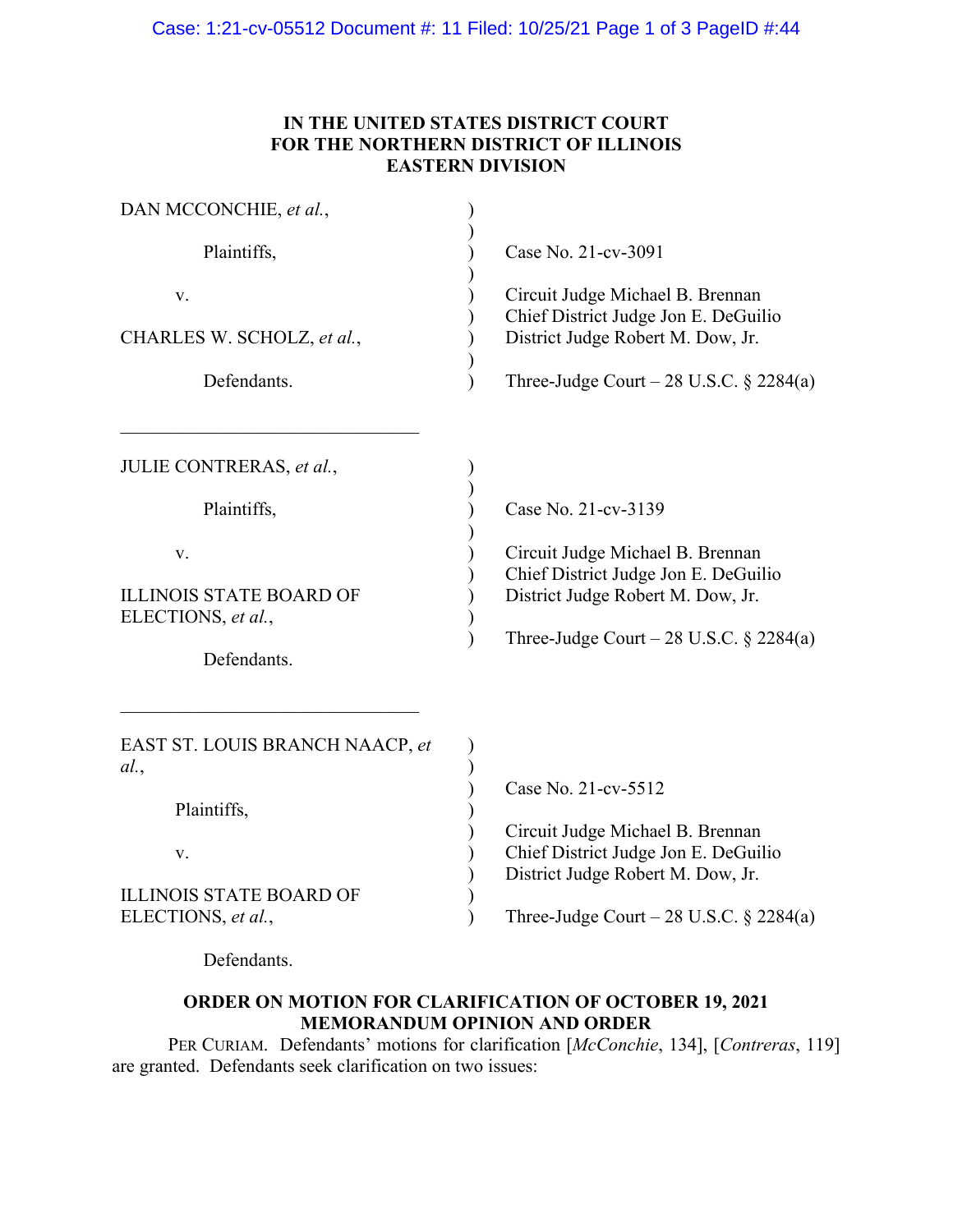## **IN THE UNITED STATES DISTRICT COURT FOR THE NORTHERN DISTRICT OF ILLINOIS EASTERN DIVISION**

| DAN MCCONCHIE, et al.,                                                                                               |                                                                                                                                                                                    |
|----------------------------------------------------------------------------------------------------------------------|------------------------------------------------------------------------------------------------------------------------------------------------------------------------------------|
| Plaintiffs,                                                                                                          | Case No. 21-cv-3091                                                                                                                                                                |
| V.<br>CHARLES W. SCHOLZ, et al.,<br>Defendants.                                                                      | Circuit Judge Michael B. Brennan<br>Chief District Judge Jon E. DeGuilio<br>District Judge Robert M. Dow, Jr.<br>Three-Judge Court – 28 U.S.C. $\S$ 2284(a)                        |
| JULIE CONTRERAS, et al.,<br>Plaintiffs,<br>V.<br><b>ILLINOIS STATE BOARD OF</b><br>ELECTIONS, et al.,<br>Defendants. | Case No. 21-cv-3139<br>Circuit Judge Michael B. Brennan<br>Chief District Judge Jon E. DeGuilio<br>District Judge Robert M. Dow, Jr.<br>Three-Judge Court – 28 U.S.C. $\S$ 2284(a) |
| EAST ST. LOUIS BRANCH NAACP, et<br>al.<br>Plaintiffs,<br>V.<br><b>ILLINOIS STATE BOARD OF</b><br>ELECTIONS, et al.,  | Case No. 21-cv-5512<br>Circuit Judge Michael B. Brennan<br>Chief District Judge Jon E. DeGuilio<br>District Judge Robert M. Dow, Jr.<br>Three-Judge Court – 28 U.S.C. $\S$ 2284(a) |

Defendants.

## **ORDER ON MOTION FOR CLARIFICATION OF OCTOBER 19, 2021 MEMORANDUM OPINION AND ORDER**

PER CURIAM. Defendants' motions for clarification [*McConchie*, 134], [*Contreras*, 119] are granted. Defendants seek clarification on two issues: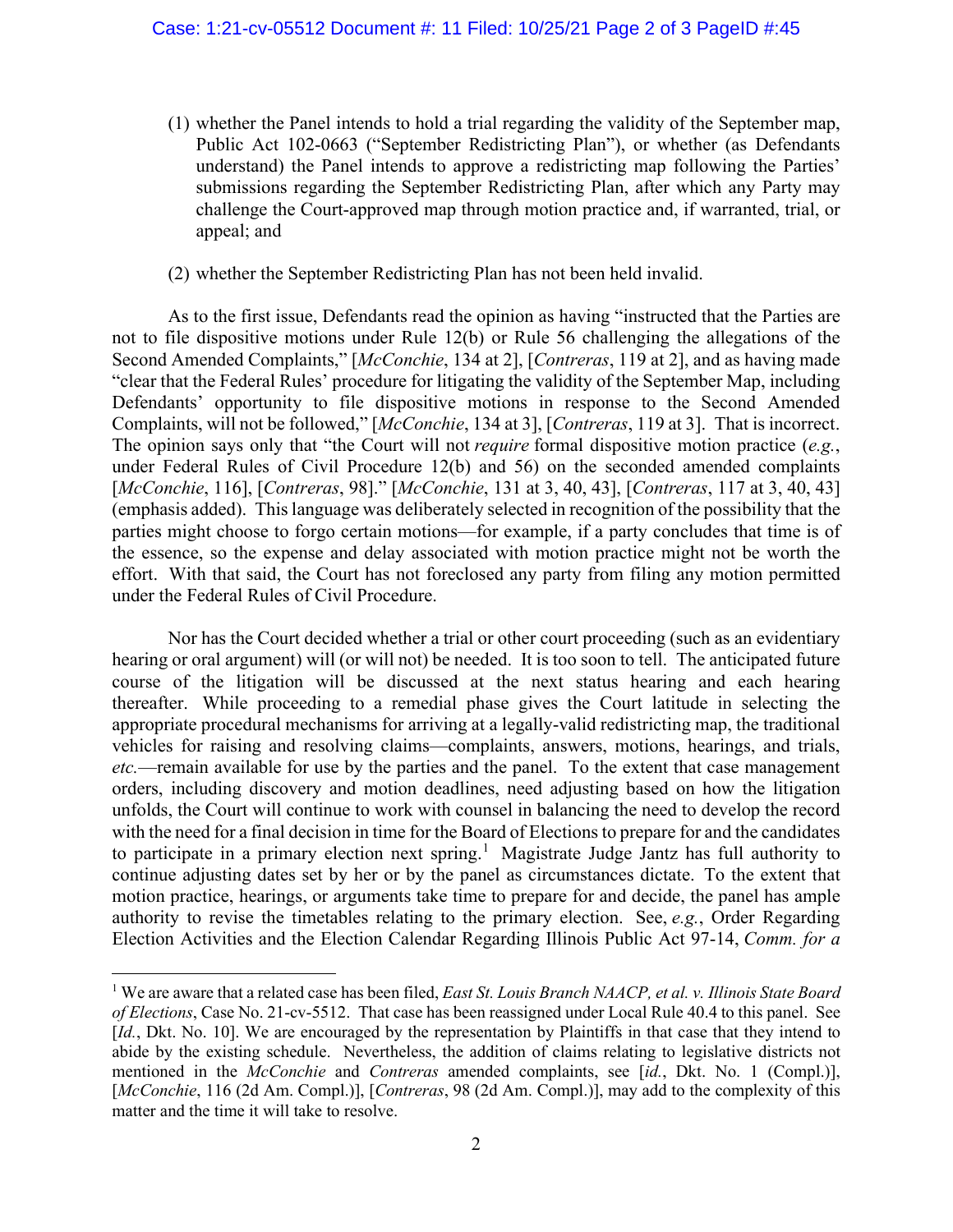- (1) whether the Panel intends to hold a trial regarding the validity of the September map, Public Act 102-0663 ("September Redistricting Plan"), or whether (as Defendants understand) the Panel intends to approve a redistricting map following the Parties' submissions regarding the September Redistricting Plan, after which any Party may challenge the Court-approved map through motion practice and, if warranted, trial, or appeal; and
- (2) whether the September Redistricting Plan has not been held invalid.

As to the first issue, Defendants read the opinion as having "instructed that the Parties are not to file dispositive motions under Rule 12(b) or Rule 56 challenging the allegations of the Second Amended Complaints," [*McConchie*, 134 at 2], [*Contreras*, 119 at 2], and as having made "clear that the Federal Rules' procedure for litigating the validity of the September Map, including Defendants' opportunity to file dispositive motions in response to the Second Amended Complaints, will not be followed," [*McConchie*, 134 at 3], [*Contreras*, 119 at 3]. That is incorrect. The opinion says only that "the Court will not *require* formal dispositive motion practice (*e.g.*, under Federal Rules of Civil Procedure 12(b) and 56) on the seconded amended complaints [*McConchie*, 116], [*Contreras*, 98]." [*McConchie*, 131 at 3, 40, 43], [*Contreras*, 117 at 3, 40, 43] (emphasis added). This language was deliberately selected in recognition of the possibility that the parties might choose to forgo certain motions—for example, if a party concludes that time is of the essence, so the expense and delay associated with motion practice might not be worth the effort. With that said, the Court has not foreclosed any party from filing any motion permitted under the Federal Rules of Civil Procedure.

Nor has the Court decided whether a trial or other court proceeding (such as an evidentiary hearing or oral argument) will (or will not) be needed. It is too soon to tell. The anticipated future course of the litigation will be discussed at the next status hearing and each hearing thereafter. While proceeding to a remedial phase gives the Court latitude in selecting the appropriate procedural mechanisms for arriving at a legally-valid redistricting map, the traditional vehicles for raising and resolving claims—complaints, answers, motions, hearings, and trials, *etc.*—remain available for use by the parties and the panel. To the extent that case management orders, including discovery and motion deadlines, need adjusting based on how the litigation unfolds, the Court will continue to work with counsel in balancing the need to develop the record with the need for a final decision in time for the Board of Elections to prepare for and the candidates to participate in a primary election next spring.<sup>1</sup> Magistrate Judge Jantz has full authority to continue adjusting dates set by her or by the panel as circumstances dictate. To the extent that motion practice, hearings, or arguments take time to prepare for and decide, the panel has ample authority to revise the timetables relating to the primary election. See, *e.g.*, Order Regarding Election Activities and the Election Calendar Regarding Illinois Public Act 97-14, *Comm. for a* 

<sup>&</sup>lt;sup>1</sup> We are aware that a related case has been filed, *East St. Louis Branch NAACP*, *et al. v. Illinois State Board of Elections*, Case No. 21-cv-5512. That case has been reassigned under Local Rule 40.4 to this panel. See [*Id.*, Dkt. No. 10]. We are encouraged by the representation by Plaintiffs in that case that they intend to abide by the existing schedule. Nevertheless, the addition of claims relating to legislative districts not mentioned in the *McConchie* and *Contreras* amended complaints, see [*id.*, Dkt. No. 1 (Compl.)], [*McConchie*, 116 (2d Am. Compl.)], [*Contreras*, 98 (2d Am. Compl.)], may add to the complexity of this matter and the time it will take to resolve.